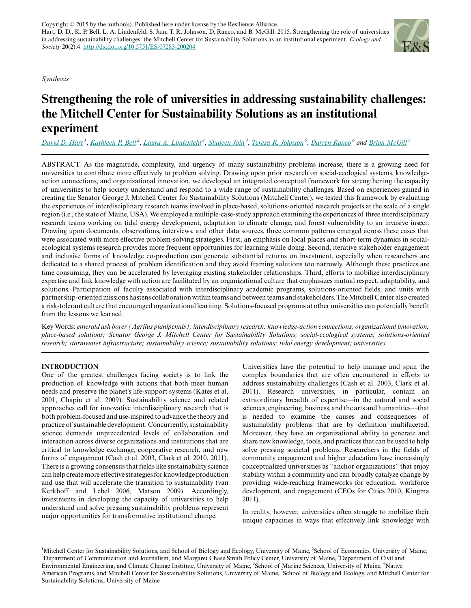Copyright  $\odot$  2015 by the author(s). Published here under license by the Resilience Alliance. Hart, D. D., K. P. Bell, L. A. Lindenfeld, S. Jain, T. R. Johnson, D. Ranco, and B. McGill. 2015. Strengthening the role of universities in addressing sustainability challenges: the Mitchell Center for Sustainability Solutions as an institutional experiment. *Ecology and Society* **20**(2):4.<http://dx.doi.org/10.5751/ES-07283-200204>

*Synthesis*

# **Strengthening the role of universities in addressing sustainability challenges: the Mitchell Center for Sustainability Solutions as an institutional experiment**

[David D. Hart](mailto:david.hart@umit.maine.edu)<sup>1</sup>, <u>[Kathleen P. Bell](mailto:kathleen.p.bell@umit.maine.edu)<sup>2</sup>, [Laura A. Lindenfeld](mailto:Laura_Lindenfeld@umit.maine.edu)<sup>3</sup>, [Shaleen Jain](mailto:Shaleen.Jain@maine.edu)<sup>4</sup>, [Teresa R. Johnson](mailto:teresa.johnson@maine.edu)<sup>5</sup>, <u>[Darren Ranco](mailto:darren.ranco@maine.edu)</u><sup>6</sup> and <u>[Brian McGill](mailto:mail@brianmcgill.org)</u><sup>7</sup></u>

ABSTRACT. As the magnitude, complexity, and urgency of many sustainability problems increase, there is a growing need for universities to contribute more effectively to problem solving. Drawing upon prior research on social-ecological systems, knowledgeaction connections, and organizational innovation, we developed an integrated conceptual framework for strengthening the capacity of universities to help society understand and respond to a wide range of sustainability challenges. Based on experiences gained in creating the Senator George J. Mitchell Center for Sustainability Solutions (Mitchell Center), we tested this framework by evaluating the experiences of interdisciplinary research teams involved in place-based, solutions-oriented research projects at the scale of a single region (i.e., the state of Maine, USA). We employed a multiple-case-study approach examining the experiences of three interdisciplinary research teams working on tidal energy development, adaptation to climate change, and forest vulnerability to an invasive insect. Drawing upon documents, observations, interviews, and other data sources, three common patterns emerged across these cases that were associated with more effective problem-solving strategies. First, an emphasis on local places and short-term dynamics in socialecological systems research provides more frequent opportunities for learning while doing. Second, iterative stakeholder engagement and inclusive forms of knowledge co-production can generate substantial returns on investment, especially when researchers are dedicated to a shared process of problem identification and they avoid framing solutions too narrowly. Although these practices are time consuming, they can be accelerated by leveraging existing stakeholder relationships. Third, efforts to mobilize interdisciplinary expertise and link knowledge with action are facilitated by an organizational culture that emphasizes mutual respect, adaptability, and solutions. Participation of faculty associated with interdisciplinary academic programs, solutions-oriented fields, and units with partnership-oriented missions hastens collaboration within teams and between teams and stakeholders. The Mitchell Center also created a risk-tolerant culture that encouraged organizational learning. Solutions-focused programs at other universities can potentially benefit from the lessons we learned.

Key Words: *emerald ash borer (Agrilus planipennis); interdisciplinary research; knowledge-action connections: organizational innovation; place-based solutions; Senator George J. Mitchell Center for Sustainability Solutions; social-ecological systems; solutions-oriented research; stormwater infrastructure; sustainability science; sustainability solutions; tidal energy development; universities*

#### **INTRODUCTION**

One of the greatest challenges facing society is to link the production of knowledge with actions that both meet human needs and preserve the planet's life-support systems (Kates et al. 2001, Chapin et al. 2009). Sustainability science and related approaches call for innovative interdisciplinary research that is both problem-focused and use-inspired to advance the theory and practice of sustainable development. Concurrently, sustainability science demands unprecedented levels of collaboration and interaction across diverse organizations and institutions that are critical to knowledge exchange, cooperative research, and new forms of engagement (Cash et al. 2003, Clark et al. 2010, 2011). There is a growing consensus that fields like sustainability science can help create more effective strategies for knowledge production and use that will accelerate the transition to sustainability (van Kerkhoff and Lebel 2006, Matson 2009). Accordingly, investments in developing the capacity of universities to help understand and solve pressing sustainability problems represent major opportunities for transformative institutional change.

Universities have the potential to help manage and span the complex boundaries that are often encountered in efforts to address sustainability challenges (Cash et al. 2003, Clark et al. 2011). Research universities, in particular, contain an extraordinary breadth of expertise—in the natural and social sciences, engineering, business, and the arts and humanities—that is needed to examine the causes and consequences of sustainability problems that are by definition multifaceted. Moreover, they have an organizational ability to generate and share new knowledge, tools, and practices that can be used to help solve pressing societal problems. Researchers in the fields of community engagement and higher education have increasingly conceptualized universities as "anchor organizations" that enjoy stability within a community and can broadly catalyze change by providing wide-reaching frameworks for education, workforce development, and engagement (CEOs for Cities 2010, Kingma 2011).

In reality, however, universities often struggle to mobilize their unique capacities in ways that effectively link knowledge with

<sup>&</sup>lt;sup>1</sup>Mitchell Center for Sustainability Solutions, and School of Biology and Ecology, University of Maine, <sup>2</sup>School of Economics, University of Maine, <sup>3</sup>Department of Communication and Journalism, and Margaret Chase Smith Policy Center, University of Maine, <sup>4</sup>Department of Civil and Environmental Engineering, and Climate Change Institute, University of Maine, <sup>5</sup>School of Marine Sciences, University of Maine, <sup>6</sup>Native American Programs, and Mitchell Center for Sustainability Solutions, University of Maine, <sup>7</sup>School of Biology and Ecology, and Mitchell Center for Sustainability Solutions, University of Maine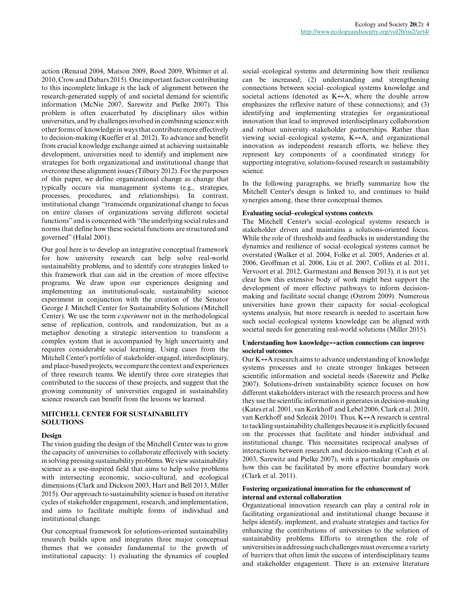action (Renaud 2004, Matson 2009, Rood 2009, Whitmer et al. 2010, Crow and Dabars 2015). One important factor contributing to this incomplete linkage is the lack of alignment between the research-generated supply of and societal demand for scientific information (McNie 2007, Sarewitz and Pielke 2007). This problem is often exacerbated by disciplinary silos within universities, and by challenges involved in combining science with other forms of knowledge in ways that contribute more effectively to decision-making (Kueffer et al. 2012). To advance and benefit from crucial knowledge exchange aimed at achieving sustainable development, universities need to identify and implement new strategies for both organizational and institutional change that overcome these alignment issues (Tilbury 2012). For the purposes of this paper, we define organizational change as change that typically occurs via management systems (e.g., strategies, processes, procedures, and relationships). In contrast, institutional change "transcends organizational change to focus on entire classes of organizations serving different societal functions" and is concerned with "the underlying social rules and norms that define how these societal functions are structured and governed" (Halal 2001).

Our goal here is to develop an integrative conceptual framework for how university research can help solve real-world sustainability problems, and to identify core strategies linked to this framework that can aid in the creation of more effective programs. We draw upon our experiences designing and implementing an institutional-scale, sustainability science experiment in conjunction with the creation of the Senator George J. Mitchell Center for Sustainability Solutions (Mitchell Center). We use the term *experiment* not in the methodological sense of replication, controls, and randomization, but as a metaphor denoting a strategic intervention to transform a complex system that is accompanied by high uncertainty and requires considerable social learning. Using cases from the Mitchell Center's portfolio of stakeholder-engaged, interdisciplinary, and place-based projects, we compare the context and experiences of three research teams. We identify three core strategies that contributed to the success of these projects, and suggest that the growing community of universities engaged in sustainability science research can benefit from the lessons we learned.

#### **MITCHELL CENTER FOR SUSTAINABILITY SOLUTIONS**

#### **Design**

The vision guiding the design of the Mitchell Center was to grow the capacity of universities to collaborate effectively with society in solving pressing sustainability problems. We view sustainability science as a use-inspired field that aims to help solve problems with intersecting economic, socio-cultural, and ecological dimensions (Clark and Dickson 2003, Hart and Bell 2013, Miller 2015). Our approach to sustainability science is based on iterative cycles of stakeholder engagement, research, and implementation, and aims to facilitate multiple forms of individual and institutional change.

Our conceptual framework for solutions-oriented sustainability research builds upon and integrates three major conceptual themes that we consider fundamental to the growth of institutional capacity: 1) evaluating the dynamics of coupled social–ecological systems and determining how their resilience can be increased; (2) understanding and strengthening connections between social–ecological systems knowledge and societal actions (denoted as  $K \leftrightarrow A$ , where the double arrow emphasizes the reflexive nature of these connections); and (3) identifying and implementing strategies for organizational innovation that lead to improved interdisciplinary collaboration and robust university–stakeholder partnerships. Rather than viewing social–ecological systems,  $K \leftrightarrow A$ , and organizational innovation as independent research efforts, we believe they represent key components of a coordinated strategy for supporting integrative, solutions-focused research in sustainability science.

In the following paragraphs, we briefly summarize how the Mitchell Center's design is linked to, and continues to build synergies among, these three conceptual themes.

#### **Evaluating social–ecological systems contexts**

The Mitchell Center's social–ecological systems research is stakeholder driven and maintains a solutions-oriented focus. While the role of thresholds and feedbacks in understanding the dynamics and resilience of social–ecological systems cannot be overstated (Walker et al. 2004, Folke et al. 2005, Anderies et al. 2006, Groffman et al. 2006, Liu et al. 2007, Collins et al. 2011, Vervoort et al. 2012, Garmestani and Benson 2013), it is not yet clear how this extensive body of work might best support the development of more effective pathways to inform decisionmaking and facilitate social change (Ostrom 2009). Numerous universities have grown their capacity for social–ecological systems analysis, but more research is needed to ascertain how such social–ecological systems knowledge can be aligned with societal needs for generating real-world solutions (Miller 2015).

#### **Understanding how knowledge**↔**action connections can improve societal outcomes**

Our  $K \leftrightarrow A$  research aims to advance understanding of knowledge systems processes and to create stronger linkages between scientific information and societal needs (Sarewitz and Pielke 2007). Solutions-driven sustainability science focuses on how different stakeholders interact with the research process and how they use the scientific information it generates in decision-making (Kates et al. 2001, van Kerkhoff and Lebel 2006, Clark et al. 2010, van Kerkhoff and Szlezák 2010). Thus,  $K \leftrightarrow A$  research is central to tackling sustainability challenges because it is explicitly focused on the processes that facilitate and hinder individual and institutional change. This necessitates reciprocal analyses of interactions between research and decision-making (Cash et al. 2003, Sarewitz and Pielke 2007), with a particular emphasis on how this can be facilitated by more effective boundary work (Clark et al. 2011).

#### **Fostering organizational innovation for the enhancement of internal and external collaboration**

Organizational innovation research can play a central role in facilitating organizational and institutional change because it helps identify, implement, and evaluate strategies and tactics for enhancing the contributions of universities to the solution of sustainability problems. Efforts to strengthen the role of universities in addressing such challenges must overcome a variety of barriers that often limit the success of interdisciplinary teams and stakeholder engagement. There is an extensive literature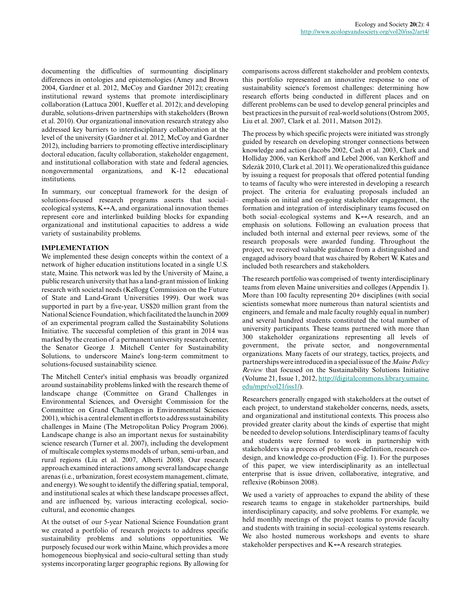documenting the difficulties of surmounting disciplinary differences in ontologies and epistemologies (Amey and Brown 2004, Gardner et al. 2012, McCoy and Gardner 2012); creating institutional reward systems that promote interdisciplinary collaboration (Lattuca 2001, Kueffer et al. 2012); and developing durable, solutions-driven partnerships with stakeholders (Brown et al. 2010). Our organizational innovation research strategy also addressed key barriers to interdisciplinary collaboration at the level of the university (Gardner et al. 2012, McCoy and Gardner 2012), including barriers to promoting effective interdisciplinary doctoral education, faculty collaboration, stakeholder engagement, and institutional collaboration with state and federal agencies, nongovernmental organizations, and K-12 educational institutions.

In summary, our conceptual framework for the design of solutions-focused research programs asserts that social– ecological systems,  $K \leftrightarrow A$ , and organizational innovation themes represent core and interlinked building blocks for expanding organizational and institutional capacities to address a wide variety of sustainability problems.

#### **IMPLEMENTATION**

We implemented these design concepts within the context of a network of higher education institutions located in a single U.S. state, Maine. This network was led by the University of Maine, a public research university that has a land-grant mission of linking research with societal needs (Kellogg Commission on the Future of State and Land-Grant Universities 1999). Our work was supported in part by a five-year, US\$20 million grant from the National Science Foundation, which facilitated the launch in 2009 of an experimental program called the Sustainability Solutions Initiative. The successful completion of this grant in 2014 was marked by the creation of a permanent university research center, the Senator George J. Mitchell Center for Sustainability Solutions, to underscore Maine's long-term commitment to solutions-focused sustainability science.

The Mitchell Center's initial emphasis was broadly organized around sustainability problems linked with the research theme of landscape change (Committee on Grand Challenges in Environmental Sciences, and Oversight Commission for the Committee on Grand Challenges in Environmental Sciences 2001), which is a central element in efforts to address sustainability challenges in Maine (The Metropolitan Policy Program 2006). Landscape change is also an important nexus for sustainability science research (Turner et al. 2007), including the development of multiscale complex systems models of urban, semi-urban, and rural regions (Liu et al. 2007, Alberti 2008). Our research approach examined interactions among several landscape change arenas (i.e., urbanization, forest ecosystem management, climate, and energy). We sought to identify the differing spatial, temporal, and institutional scales at which these landscape processes affect, and are influenced by, various interacting ecological, sociocultural, and economic changes.

At the outset of our 5-year National Science Foundation grant we created a portfolio of research projects to address specific sustainability problems and solutions opportunities. We purposely focused our work within Maine, which provides a more homogeneous biophysical and socio-cultural setting than study systems incorporating larger geographic regions. By allowing for

comparisons across different stakeholder and problem contexts, this portfolio represented an innovative response to one of sustainability science's foremost challenges: determining how research efforts being conducted in different places and on different problems can be used to develop general principles and best practices in the pursuit of real-world solutions (Ostrom 2005, Liu et al. 2007, Clark et al. 2011, Matson 2012).

The process by which specific projects were initiated was strongly guided by research on developing stronger connections between knowledge and action (Jacobs 2002, Cash et al. 2003, Clark and Holliday 2006, van Kerkhoff and Lebel 2006, van Kerkhoff and Szlezák 2010, Clark et al. 2011). We operationalized this guidance by issuing a request for proposals that offered potential funding to teams of faculty who were interested in developing a research project. The criteria for evaluating proposals included an emphasis on initial and on-going stakeholder engagement, the formation and integration of interdisciplinary teams focused on both social–ecological systems and  $K \leftrightarrow A$  research, and an emphasis on solutions. Following an evaluation process that included both internal and external peer reviews, some of the research proposals were awarded funding. Throughout the project, we received valuable guidance from a distinguished and engaged advisory board that was chaired by Robert W. Kates and included both researchers and stakeholders.

The research portfolio was comprised of twenty interdisciplinary teams from eleven Maine universities and colleges (Appendix 1). More than 100 faculty representing 20+ disciplines (with social scientists somewhat more numerous than natural scientists and engineers, and female and male faculty roughly equal in number) and several hundred students constituted the total number of university participants. These teams partnered with more than 300 stakeholder organizations representing all levels of government, the private sector, and nongovernmental organizations. Many facets of our strategy, tactics, projects, and partnerships were introduced in a special issue of the *Maine Policy Review* that focused on the Sustainability Solutions Initiative (Volume 21, Issue 1, 2012, [http://digitalcommons.library.umaine.](http://digitalcommons.library.umaine.edu/mpr/vol21/iss1/) [edu/mpr/vol21/iss1/](http://digitalcommons.library.umaine.edu/mpr/vol21/iss1/)).

Researchers generally engaged with stakeholders at the outset of each project, to understand stakeholder concerns, needs, assets, and organizational and institutional contexts. This process also provided greater clarity about the kinds of expertise that might be needed to develop solutions. Interdisciplinary teams of faculty and students were formed to work in partnership with stakeholders via a process of problem co-definition, research codesign, and knowledge co-production (Fig. 1). For the purposes of this paper, we view interdisciplinarity as an intellectual enterprise that is issue driven, collaborative, integrative, and reflexive (Robinson 2008).

We used a variety of approaches to expand the ability of these research teams to engage in stakeholder partnerships, build interdisciplinary capacity, and solve problems. For example, we held monthly meetings of the project teams to provide faculty and students with training in social–ecological systems research. We also hosted numerous workshops and events to share stakeholder perspectives and  $K \leftrightarrow A$  research strategies.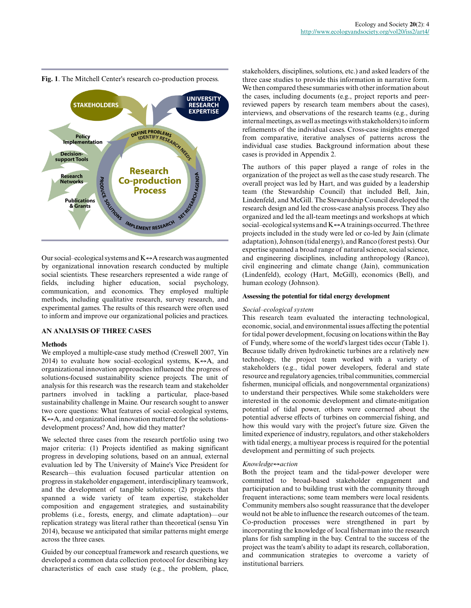

**Fig. 1**. The Mitchell Center's research co-production process.

Our social–ecological systems and  $K \leftrightarrow A$  research was augmented by organizational innovation research conducted by multiple social scientists. These researchers represented a wide range of fields, including higher education, social psychology, communication, and economics. They employed multiple methods, including qualitative research, survey research, and experimental games. The results of this research were often used to inform and improve our organizational policies and practices.

#### **AN ANALYSIS OF THREE CASES**

#### **Methods**

We employed a multiple-case study method (Creswell 2007, Yin 2014) to evaluate how social–ecological systems,  $K \leftrightarrow A$ , and organizational innovation approaches influenced the progress of solutions-focused sustainability science projects. The unit of analysis for this research was the research team and stakeholder partners involved in tackling a particular, place-based sustainability challenge in Maine. Our research sought to answer two core questions: What features of social–ecological systems,  $K \leftrightarrow A$ , and organizational innovation mattered for the solutionsdevelopment process? And, how did they matter?

We selected three cases from the research portfolio using two major criteria: (1) Projects identified as making significant progress in developing solutions, based on an annual, external evaluation led by The University of Maine's Vice President for Research—this evaluation focused particular attention on progress in stakeholder engagement, interdisciplinary teamwork, and the development of tangible solutions; (2) projects that spanned a wide variety of team expertise, stakeholder composition and engagement strategies, and sustainability problems (i.e., forests, energy, and climate adaptation)—our replication strategy was literal rather than theoretical (sensu Yin 2014), because we anticipated that similar patterns might emerge across the three cases.

Guided by our conceptual framework and research questions, we developed a common data collection protocol for describing key characteristics of each case study (e.g., the problem, place,

stakeholders, disciplines, solutions, etc.) and asked leaders of the three case studies to provide this information in narrative form. We then compared these summaries with other information about the cases, including documents (e.g., project reports and peerreviewed papers by research team members about the cases), interviews, and observations of the research teams (e.g., during internal meetings, as well as meetings with stakeholders) to inform refinements of the individual cases. Cross-case insights emerged from comparative, iterative analyses of patterns across the individual case studies. Background information about these cases is provided in Appendix 2.

The authors of this paper played a range of roles in the organization of the project as well as the case study research. The overall project was led by Hart, and was guided by a leadership team (the Stewardship Council) that included Bell, Jain, Lindenfeld, and McGill. The Stewardship Council developed the research design and led the cross-case analysis process. They also organized and led the all-team meetings and workshops at which social–ecological systems and  $K \leftrightarrow A$  trainings occurred. The three projects included in the study were led or co-led by Jain (climate adaptation), Johnson (tidal energy), and Ranco (forest pests). Our expertise spanned a broad range of natural science, social science, and engineering disciplines, including anthropology (Ranco), civil engineering and climate change (Jain), communication (Lindenfeld), ecology (Hart, McGill), economics (Bell), and human ecology (Johnson).

#### **Assessing the potential for tidal energy development**

#### *Social–ecological system*

This research team evaluated the interacting technological, economic, social, and environmental issues affecting the potential for tidal power development, focusing on locations within the Bay of Fundy, where some of the world's largest tides occur (Table 1). Because tidally driven hydrokinetic turbines are a relatively new technology, the project team worked with a variety of stakeholders (e.g., tidal power developers, federal and state resource and regulatory agencies, tribal communities, commercial fishermen, municipal officials, and nongovernmental organizations) to understand their perspectives. While some stakeholders were interested in the economic development and climate-mitigation potential of tidal power, others were concerned about the potential adverse effects of turbines on commercial fishing, and how this would vary with the project's future size. Given the limited experience of industry, regulators, and other stakeholders with tidal energy, a multiyear process is required for the potential development and permitting of such projects.

#### *Knowledge*↔*action*

Both the project team and the tidal-power developer were committed to broad-based stakeholder engagement and participation and to building trust with the community through frequent interactions; some team members were local residents. Community members also sought reassurance that the developer would not be able to influence the research outcomes of the team. Co-production processes were strengthened in part by incorporating the knowledge of local fisherman into the research plans for fish sampling in the bay. Central to the success of the project was the team's ability to adapt its research, collaboration, and communication strategies to overcome a variety of institutional barriers.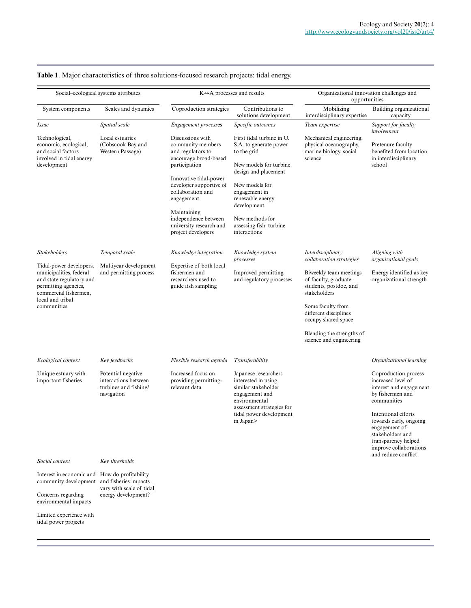### **Table 1**. Major characteristics of three solutions-focused research projects: tidal energy.

| Social-ecological systems attributes                                                                                                                |                                                                                   |                                                                                                                                                                                                                                                                                      | $K \leftrightarrow A$ processes and results                                                                                                                                                                                                             | Organizational innovation challenges and<br>opportunities                                                            |                                                                                                                                     |  |
|-----------------------------------------------------------------------------------------------------------------------------------------------------|-----------------------------------------------------------------------------------|--------------------------------------------------------------------------------------------------------------------------------------------------------------------------------------------------------------------------------------------------------------------------------------|---------------------------------------------------------------------------------------------------------------------------------------------------------------------------------------------------------------------------------------------------------|----------------------------------------------------------------------------------------------------------------------|-------------------------------------------------------------------------------------------------------------------------------------|--|
| System components                                                                                                                                   | Scales and dynamics                                                               | Coproduction strategies                                                                                                                                                                                                                                                              | Contributions to<br>solutions development                                                                                                                                                                                                               | Mobilizing<br>interdisciplinary expertise                                                                            | Building organizational<br>capacity                                                                                                 |  |
| <i>Issue</i>                                                                                                                                        | Spatial scale                                                                     | <b>Engagement</b> processes                                                                                                                                                                                                                                                          | Specific outcomes                                                                                                                                                                                                                                       | Team expertise                                                                                                       | Support for faculty                                                                                                                 |  |
| Technological,<br>economic, ecological,<br>and social factors<br>involved in tidal energy<br>development                                            | Local estuaries<br>(Cobscook Bay and<br>Western Passage)                          | Discussions with<br>community members<br>and regulators to<br>encourage broad-based<br>participation<br>Innovative tidal-power<br>developer supportive of<br>collaboration and<br>engagement<br>Maintaining<br>independence between<br>university research and<br>project developers | First tidal turbine in U.<br>S.A. to generate power<br>to the grid<br>New models for turbine<br>design and placement<br>New models for<br>engagement in<br>renewable energy<br>development<br>New methods for<br>assessing fish-turbine<br>interactions | Mechanical engineering,<br>physical oceanography,<br>marine biology, social<br>science                               | involvement<br>Pretenure faculty<br>benefited from location<br>in interdisciplinary<br>school                                       |  |
| <b>Stakeholders</b>                                                                                                                                 | Temporal scale                                                                    | Knowledge integration                                                                                                                                                                                                                                                                | Knowledge system                                                                                                                                                                                                                                        | Interdisciplinary                                                                                                    | Aligning with                                                                                                                       |  |
| Tidal-power developers,<br>municipalities, federal<br>and state regulatory and<br>permitting agencies,<br>commercial fishermen,<br>local and tribal | Multiyear development<br>and permitting process                                   | Expertise of both local<br>fishermen and<br>researchers used to<br>guide fish sampling                                                                                                                                                                                               | processes<br>Improved permitting<br>and regulatory processes                                                                                                                                                                                            | collaboration strategies<br>Biweekly team meetings<br>of faculty, graduate<br>students, postdoc, and<br>stakeholders | organizational goals<br>Energy identified as key<br>organizational strength                                                         |  |
| communities                                                                                                                                         |                                                                                   |                                                                                                                                                                                                                                                                                      |                                                                                                                                                                                                                                                         | Some faculty from<br>different disciplines<br>occupy shared space                                                    |                                                                                                                                     |  |
|                                                                                                                                                     |                                                                                   |                                                                                                                                                                                                                                                                                      |                                                                                                                                                                                                                                                         | Blending the strengths of<br>science and engineering                                                                 |                                                                                                                                     |  |
| Ecological context                                                                                                                                  | Key feedbacks                                                                     | Flexible research agenda                                                                                                                                                                                                                                                             | Transferability                                                                                                                                                                                                                                         |                                                                                                                      | Organizational learning                                                                                                             |  |
| Unique estuary with<br>important fisheries                                                                                                          | Potential negative<br>interactions between<br>turbines and fishing/<br>navigation | Increased focus on<br>providing permitting-<br>relevant data                                                                                                                                                                                                                         | Japanese researchers<br>interested in using<br>similar stakeholder<br>engagement and<br>environmental<br>assessment strategies for<br>tidal power development<br>in Japan>                                                                              |                                                                                                                      | Coproduction process<br>increased level of<br>interest and engagement<br>by fishermen and<br>communities                            |  |
|                                                                                                                                                     |                                                                                   |                                                                                                                                                                                                                                                                                      |                                                                                                                                                                                                                                                         |                                                                                                                      | Intentional efforts<br>towards early, ongoing<br>engagement of<br>stakeholders and<br>transparency helped<br>improve collaborations |  |
| Social context                                                                                                                                      | Key thresholds                                                                    |                                                                                                                                                                                                                                                                                      |                                                                                                                                                                                                                                                         |                                                                                                                      | and reduce conflict                                                                                                                 |  |
| Interest in economic and How do profitability<br>community development and fisheries impacts                                                        | vary with scale of tidal                                                          |                                                                                                                                                                                                                                                                                      |                                                                                                                                                                                                                                                         |                                                                                                                      |                                                                                                                                     |  |
| Concerns regarding<br>environmental impacts                                                                                                         | energy development?                                                               |                                                                                                                                                                                                                                                                                      |                                                                                                                                                                                                                                                         |                                                                                                                      |                                                                                                                                     |  |
| Limited experience with<br>tidal power projects                                                                                                     |                                                                                   |                                                                                                                                                                                                                                                                                      |                                                                                                                                                                                                                                                         |                                                                                                                      |                                                                                                                                     |  |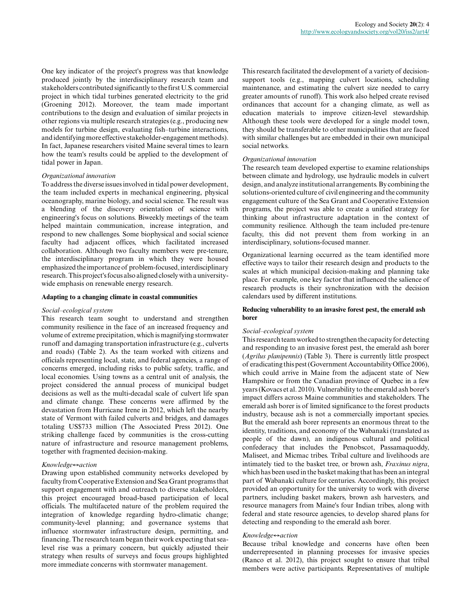One key indicator of the project's progress was that knowledge produced jointly by the interdisciplinary research team and stakeholders contributed significantly to the first U.S. commercial project in which tidal turbines generated electricity to the grid (Groening 2012). Moreover, the team made important contributions to the design and evaluation of similar projects in other regions via multiple research strategies (e.g., producing new models for turbine design, evaluating fish–turbine interactions, and identifying more effective stakeholder-engagement methods). In fact, Japanese researchers visited Maine several times to learn how the team's results could be applied to the development of tidal power in Japan.

#### *Organizational innovation*

To address the diverse issues involved in tidal power development, the team included experts in mechanical engineering, physical oceanography, marine biology, and social science. The result was a blending of the discovery orientation of science with engineering's focus on solutions. Biweekly meetings of the team helped maintain communication, increase integration, and respond to new challenges. Some biophysical and social science faculty had adjacent offices, which facilitated increased collaboration. Although two faculty members were pre-tenure, the interdisciplinary program in which they were housed emphasized the importance of problem-focused, interdisciplinary research. This project's focus also aligned closely with a universitywide emphasis on renewable energy research.

#### **Adapting to a changing climate in coastal communities**

#### *Social–ecological system*

This research team sought to understand and strengthen community resilience in the face of an increased frequency and volume of extreme precipitation, which is magnifying stormwater runoff and damaging transportation infrastructure (e.g., culverts and roads) (Table 2). As the team worked with citizens and officials representing local, state, and federal agencies, a range of concerns emerged, including risks to public safety, traffic, and local economies. Using towns as a central unit of analysis, the project considered the annual process of municipal budget decisions as well as the multi-decadal scale of culvert life span and climate change. These concerns were affirmed by the devastation from Hurricane Irene in 2012, which left the nearby state of Vermont with failed culverts and bridges, and damages totaling US\$733 million (The Associated Press 2012). One striking challenge faced by communities is the cross-cutting nature of infrastructure and resource management problems, together with fragmented decision-making.

#### *Knowledge*↔*action*

Drawing upon established community networks developed by faculty from Cooperative Extension and Sea Grant programs that support engagement with and outreach to diverse stakeholders, this project encouraged broad-based participation of local officials. The multifaceted nature of the problem required the integration of knowledge regarding hydro-climatic change; community-level planning; and governance systems that influence stormwater infrastructure design, permitting, and financing. The research team began their work expecting that sealevel rise was a primary concern, but quickly adjusted their strategy when results of surveys and focus groups highlighted more immediate concerns with stormwater management.

This research facilitated the development of a variety of decisionsupport tools (e.g., mapping culvert locations, scheduling maintenance, and estimating the culvert size needed to carry greater amounts of runoff). This work also helped create revised ordinances that account for a changing climate, as well as education materials to improve citizen-level stewardship. Although these tools were developed for a single model town, they should be transferable to other municipalities that are faced with similar challenges but are embedded in their own municipal social networks.

#### *Organizational innovation*

The research team developed expertise to examine relationships between climate and hydrology, use hydraulic models in culvert design, and analyze institutional arrangements. By combining the solutions-oriented culture of civil engineering and the community engagement culture of the Sea Grant and Cooperative Extension programs, the project was able to create a unified strategy for thinking about infrastructure adaptation in the context of community resilience. Although the team included pre-tenure faculty, this did not prevent them from working in an interdisciplinary, solutions-focused manner.

Organizational learning occurred as the team identified more effective ways to tailor their research design and products to the scales at which municipal decision-making and planning take place. For example, one key factor that influenced the salience of research products is their synchronization with the decision calendars used by different institutions.

#### **Reducing vulnerability to an invasive forest pest, the emerald ash borer**

#### *Social–ecological system*

This research team worked to strengthen the capacity for detecting and responding to an invasive forest pest, the emerald ash borer (*Agrilus planipennis*) (Table 3). There is currently little prospect of eradicating this pest (Government Accountability Office 2006), which could arrive in Maine from the adjacent state of New Hampshire or from the Canadian province of Quebec in a few years (Kovacs et al. 2010). Vulnerability to the emerald ash borer's impact differs across Maine communities and stakeholders. The emerald ash borer is of limited significance to the forest products industry, because ash is not a commercially important species. But the emerald ash borer represents an enormous threat to the identity, traditions, and economy of the Wabanaki (translated as people of the dawn), an indigenous cultural and political confederacy that includes the Penobscot, Passamaquoddy, Maliseet, and Micmac tribes. Tribal culture and livelihoods are intimately tied to the basket tree, or brown ash, *Fraxinus nigra*, which has been used in the basket making that has been an integral part of Wabanaki culture for centuries. Accordingly, this project provided an opportunity for the university to work with diverse partners, including basket makers, brown ash harvesters, and resource managers from Maine's four Indian tribes, along with federal and state resource agencies, to develop shared plans for detecting and responding to the emerald ash borer.

#### *Knowledge*↔*action*

Because tribal knowledge and concerns have often been underrepresented in planning processes for invasive species (Ranco et al. 2012), this project sought to ensure that tribal members were active participants. Representatives of multiple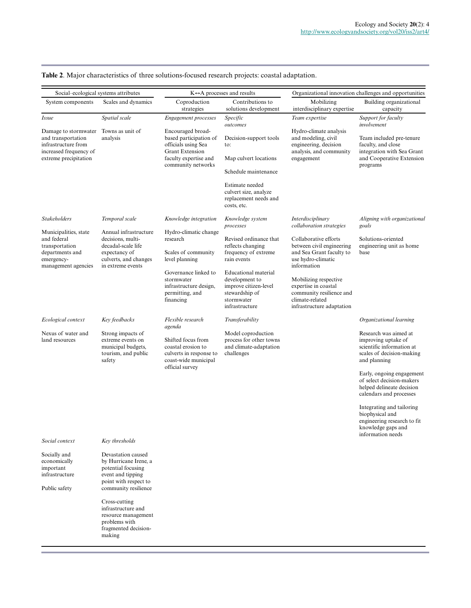### **Table 2**. Major characteristics of three solutions-focused research projects: coastal adaptation.

| Social-ecological systems attributes                                                                                                 |                                                                                                                                                                                                                                                          | $K \leftrightarrow A$ processes and results                                                                                                                                |                                                                                                                                                                                                         | Organizational innovation challenges and opportunities                                                                                                                                                                                           |                                                                                                                                                                                                                                                                                                                                                                    |
|--------------------------------------------------------------------------------------------------------------------------------------|----------------------------------------------------------------------------------------------------------------------------------------------------------------------------------------------------------------------------------------------------------|----------------------------------------------------------------------------------------------------------------------------------------------------------------------------|---------------------------------------------------------------------------------------------------------------------------------------------------------------------------------------------------------|--------------------------------------------------------------------------------------------------------------------------------------------------------------------------------------------------------------------------------------------------|--------------------------------------------------------------------------------------------------------------------------------------------------------------------------------------------------------------------------------------------------------------------------------------------------------------------------------------------------------------------|
| System components                                                                                                                    | Scales and dynamics                                                                                                                                                                                                                                      | Coproduction<br>strategies                                                                                                                                                 | Contributions to<br>solutions development                                                                                                                                                               | Mobilizing<br>interdisciplinary expertise                                                                                                                                                                                                        | Building organizational<br>capacity                                                                                                                                                                                                                                                                                                                                |
| <i>Issue</i><br>Damage to stormwater<br>and transportation<br>infrastructure from<br>increased frequency of<br>extreme precipitation | Spatial scale<br>Towns as unit of<br>analysis                                                                                                                                                                                                            | <b>Engagement</b> processes<br>Encouraged broad-<br>based participation of<br>officials using Sea<br>Grant Extension<br>faculty expertise and<br>community networks        | Specific<br>outcomes<br>Decision-support tools<br>to:<br>Map culvert locations<br>Schedule maintenance<br>Estimate needed<br>culvert size, analyze<br>replacement needs and<br>costs, etc.              | Team expertise<br>Hydro-climate analysis<br>and modeling, civil<br>engineering, decision<br>analysis, and community<br>engagement                                                                                                                | Support for faculty<br>involvement<br>Team included pre-tenure<br>faculty, and close<br>integration with Sea Grant<br>and Cooperative Extension<br>programs                                                                                                                                                                                                        |
| <b>Stakeholders</b>                                                                                                                  | Temporal scale                                                                                                                                                                                                                                           | Knowledge integration                                                                                                                                                      | Knowledge system<br>processes                                                                                                                                                                           | Interdisciplinary<br>collaboration strategies                                                                                                                                                                                                    | Aligning with organizational<br>goals                                                                                                                                                                                                                                                                                                                              |
| Municipalities, state<br>and federal<br>transportation<br>departments and<br>emergency-<br>management agencies                       | Annual infrastructure<br>decisions, multi-<br>decadal-scale life<br>expectancy of<br>culverts, and changes<br>in extreme events                                                                                                                          | Hydro-climatic change<br>research<br>Scales of community<br>level planning<br>Governance linked to<br>stormwater<br>infrastructure design,<br>permitting, and<br>financing | Revised ordinance that<br>reflects changing<br>frequency of extreme<br>rain events<br>Educational material<br>development to<br>improve citizen-level<br>stewardship of<br>stormwater<br>infrastructure | Collaborative efforts<br>between civil engineering<br>and Sea Grant faculty to<br>use hydro-climatic<br>information<br>Mobilizing respective<br>expertise in coastal<br>community resilience and<br>climate-related<br>infrastructure adaptation | Solutions-oriented<br>engineering unit as home<br>base                                                                                                                                                                                                                                                                                                             |
| Ecological context                                                                                                                   | Key feedbacks                                                                                                                                                                                                                                            | Flexible research<br>agenda                                                                                                                                                | Transferability                                                                                                                                                                                         |                                                                                                                                                                                                                                                  | Organizational learning                                                                                                                                                                                                                                                                                                                                            |
| Nexus of water and<br>land resources                                                                                                 | Strong impacts of<br>extreme events on<br>municipal budgets,<br>tourism, and public<br>safety                                                                                                                                                            | Shifted focus from<br>coastal erosion to<br>culverts in response to<br>coast-wide municipal<br>official survey                                                             | Model coproduction<br>process for other towns<br>and climate-adaptation<br>challenges                                                                                                                   |                                                                                                                                                                                                                                                  | Research was aimed at<br>improving uptake of<br>scientific information at<br>scales of decision-making<br>and planning<br>Early, ongoing engagement<br>of select decision-makers<br>helped delineate decision<br>calendars and processes<br>Integrating and tailoring<br>biophysical and<br>engineering research to fit<br>knowledge gaps and<br>information needs |
| Social context                                                                                                                       | Key thresholds                                                                                                                                                                                                                                           |                                                                                                                                                                            |                                                                                                                                                                                                         |                                                                                                                                                                                                                                                  |                                                                                                                                                                                                                                                                                                                                                                    |
| Socially and<br>economically<br>important<br>infrastructure<br>Public safety                                                         | Devastation caused<br>by Hurricane Irene, a<br>potential focusing<br>event and tipping<br>point with respect to<br>community resilience<br>Cross-cutting<br>infrastructure and<br>resource management<br>problems with<br>fragmented decision-<br>making |                                                                                                                                                                            |                                                                                                                                                                                                         |                                                                                                                                                                                                                                                  |                                                                                                                                                                                                                                                                                                                                                                    |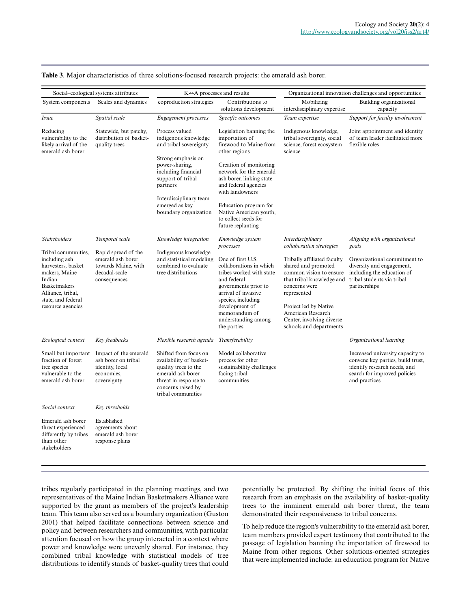#### **Table 3**. Major characteristics of three solutions-focused research projects: the emerald ash borer.

| Social-ecological systems attributes                                                                                                                                         |                                                                                                  | $K \leftrightarrow A$ processes and results                                                                                                                        |                                                                                                                                                                                                                                       | Organizational innovation challenges and opportunities                                                                                                                                                                                           |                                                                                                                                                        |  |
|------------------------------------------------------------------------------------------------------------------------------------------------------------------------------|--------------------------------------------------------------------------------------------------|--------------------------------------------------------------------------------------------------------------------------------------------------------------------|---------------------------------------------------------------------------------------------------------------------------------------------------------------------------------------------------------------------------------------|--------------------------------------------------------------------------------------------------------------------------------------------------------------------------------------------------------------------------------------------------|--------------------------------------------------------------------------------------------------------------------------------------------------------|--|
| System components                                                                                                                                                            | Scales and dynamics                                                                              | coproduction strategies                                                                                                                                            | Contributions to<br>solutions development                                                                                                                                                                                             | Mobilizing<br>interdisciplinary expertise                                                                                                                                                                                                        | Building organizational<br>capacity                                                                                                                    |  |
| <i>Issue</i>                                                                                                                                                                 | Spatial scale                                                                                    | <b>Engagement</b> processes                                                                                                                                        | Specific outcomes                                                                                                                                                                                                                     | Team expertise                                                                                                                                                                                                                                   | Support for faculty involvement                                                                                                                        |  |
| Reducing<br>vulnerability to the<br>likely arrival of the<br>emerald ash borer                                                                                               | Statewide, but patchy,<br>distribution of basket-<br>quality trees                               | Process valued<br>indigenous knowledge<br>and tribal sovereignty<br>Strong emphasis on<br>power-sharing,<br>including financial<br>support of tribal               | Legislation banning the<br>importation of<br>firewood to Maine from<br>other regions<br>Creation of monitoring<br>network for the emerald<br>ash borer, linking state                                                                 | Indigenous knowledge,<br>tribal sovereignty, social<br>science, forest ecosystem<br>science                                                                                                                                                      | Joint appointment and identity<br>of team leader facilitated more<br>flexible roles                                                                    |  |
|                                                                                                                                                                              |                                                                                                  | partners                                                                                                                                                           | and federal agencies<br>with landowners                                                                                                                                                                                               |                                                                                                                                                                                                                                                  |                                                                                                                                                        |  |
|                                                                                                                                                                              |                                                                                                  | Interdisciplinary team<br>emerged as key<br>boundary organization                                                                                                  | Education program for<br>Native American youth,<br>to collect seeds for<br>future replanting                                                                                                                                          |                                                                                                                                                                                                                                                  |                                                                                                                                                        |  |
| <b>Stakeholders</b>                                                                                                                                                          | Temporal scale                                                                                   | Knowledge integration                                                                                                                                              | Knowledge system<br>processes                                                                                                                                                                                                         | Interdisciplinary<br>collaboration strategies                                                                                                                                                                                                    | Aligning with organizational<br>goals                                                                                                                  |  |
| Tribal communities,<br>including ash<br>harvesters, basket<br>makers, Maine<br>Indian<br><b>Basketmakers</b><br>Alliance, tribal,<br>state, and federal<br>resource agencies | Rapid spread of the<br>emerald ash borer<br>towards Maine, with<br>decadal-scale<br>consequences | Indigenous knowledge<br>and statistical modeling<br>combined to evaluate<br>tree distributions                                                                     | One of first U.S.<br>collaborations in which<br>tribes worked with state<br>and federal<br>governments prior to<br>arrival of invasive<br>species, including<br>development of<br>memorandum of<br>understanding among<br>the parties | Tribally affiliated faculty<br>shared and promoted<br>common vision to ensure<br>that tribal knowledge and<br>concerns were<br>represented<br>Project led by Native<br>American Research<br>Center, involving diverse<br>schools and departments | Organizational commitment to<br>diversity and engagement,<br>including the education of<br>tribal students via tribal<br>partnerships                  |  |
| Ecological context                                                                                                                                                           | Key feedbacks                                                                                    | Flexible research agenda                                                                                                                                           | Transferability                                                                                                                                                                                                                       |                                                                                                                                                                                                                                                  | Organizational learning                                                                                                                                |  |
| Small but important<br>fraction of forest<br>tree species<br>vulnerable to the<br>emerald ash borer                                                                          | Impact of the emerald<br>ash borer on tribal<br>identity, local<br>economies,<br>sovereignty     | Shifted from focus on<br>availability of basket-<br>quality trees to the<br>emerald ash borer<br>threat in response to<br>concerns raised by<br>tribal communities | Model collaborative<br>process for other<br>sustainability challenges<br>facing tribal<br>communities                                                                                                                                 |                                                                                                                                                                                                                                                  | Increased university capacity to<br>convene key parties, build trust,<br>identify research needs, and<br>search for improved policies<br>and practices |  |
| Social context                                                                                                                                                               | Key thresholds                                                                                   |                                                                                                                                                                    |                                                                                                                                                                                                                                       |                                                                                                                                                                                                                                                  |                                                                                                                                                        |  |
| Emerald ash borer<br>threat experienced<br>differently by tribes<br>than other<br>stakeholders                                                                               | Established<br>agreements about<br>emerald ash borer<br>response plans                           |                                                                                                                                                                    |                                                                                                                                                                                                                                       |                                                                                                                                                                                                                                                  |                                                                                                                                                        |  |

tribes regularly participated in the planning meetings, and two representatives of the Maine Indian Basketmakers Alliance were supported by the grant as members of the project's leadership team. This team also served as a boundary organization (Guston 2001) that helped facilitate connections between science and policy and between researchers and communities, with particular attention focused on how the group interacted in a context where power and knowledge were unevenly shared. For instance, they combined tribal knowledge with statistical models of tree distributions to identify stands of basket-quality trees that could potentially be protected. By shifting the initial focus of this research from an emphasis on the availability of basket-quality trees to the imminent emerald ash borer threat, the team demonstrated their responsiveness to tribal concerns.

To help reduce the region's vulnerability to the emerald ash borer, team members provided expert testimony that contributed to the passage of legislation banning the importation of firewood to Maine from other regions. Other solutions-oriented strategies that were implemented include: an education program for Native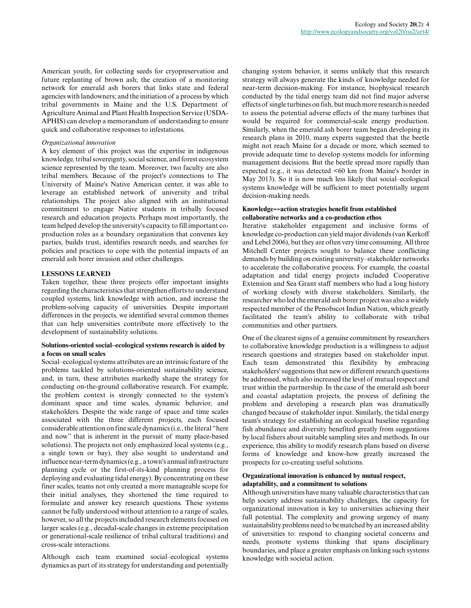American youth, for collecting seeds for cryopreservation and future replanting of brown ash; the creation of a monitoring network for emerald ash borers that links state and federal agencies with landowners; and the initiation of a process by which tribal governments in Maine and the U.S. Department of Agriculture Animal and Plant Health Inspection Service (USDA-APHIS) can develop a memorandum of understanding to ensure quick and collaborative responses to infestations.

#### *Organizational innovation*

A key element of this project was the expertise in indigenous knowledge, tribal sovereignty, social science, and forest ecosystem science represented by the team. Moreover, two faculty are also tribal members. Because of the project's connections to The University of Maine's Native American center, it was able to leverage an established network of university and tribal relationships. The project also aligned with an institutional commitment to engage Native students in tribally focused research and education projects. Perhaps most importantly, the team helped develop the university's capacity to fill important coproduction roles as a boundary organization that convenes key parties, builds trust, identifies research needs, and searches for policies and practices to cope with the potential impacts of an emerald ash borer invasion and other challenges.

#### **LESSONS LEARNED**

Taken together, these three projects offer important insights regarding the characteristics that strengthen efforts to understand coupled systems, link knowledge with action, and increase the problem-solving capacity of universities. Despite important differences in the projects, we identified several common themes that can help universities contribute more effectively to the development of sustainability solutions.

#### **Solutions-oriented social–ecological systems research is aided by a focus on small scales**

Social–ecological systems attributes are an intrinsic feature of the problems tackled by solutions-oriented sustainability science, and, in turn, these attributes markedly shape the strategy for conducting on-the-ground collaborative research. For example, the problem context is strongly connected to the system's dominant space and time scales, dynamic behavior, and stakeholders. Despite the wide range of space and time scales associated with the three different projects, each focused considerable attention on fine scale dynamics (i.e., the literal "here and now" that is inherent in the pursuit of many place-based solutions). The projects not only emphasized local systems (e.g., a single town or bay), they also sought to understand and influence near-term dynamics (e.g., a town's annual infrastructure planning cycle or the first-of-its-kind planning process for deploying and evaluating tidal energy). By concentrating on these finer scales, teams not only created a more manageable scope for their initial analyses, they shortened the time required to formulate and answer key research questions. These systems cannot be fully understood without attention to a range of scales, however, so all the projects included research elements focused on larger scales (e.g., decadal-scale changes in extreme precipitation or generational-scale resilience of tribal cultural traditions) and cross-scale interactions.

Although each team examined social–ecological systems dynamics as part of its strategy for understanding and potentially

changing system behavior, it seems unlikely that this research strategy will always generate the kinds of knowledge needed for near-term decision-making. For instance, biophysical research conducted by the tidal energy team did not find major adverse effects of single turbines on fish, but much more research is needed to assess the potential adverse effects of the many turbines that would be required for commercial-scale energy production. Similarly, when the emerald ash borer team began developing its research plans in 2010, many experts suggested that the beetle might not reach Maine for a decade or more, which seemed to provide adequate time to develop systems models for informing management decisions. But the beetle spread more rapidly than expected (e.g., it was detected <60 km from Maine's border in May 2013). So it is now much less likely that social–ecological systems knowledge will be sufficient to meet potentially urgent decision-making needs.

#### **Knowledge**↔**action strategies benefit from established collaborative networks and a co-production ethos**

Iterative stakeholder engagement and inclusive forms of knowledge co-production can yield major dividends (van Kerkoff and Lebel 2006), but they are often very time consuming. All three Mitchell Center projects sought to balance these conflicting demands by building on existing university–stakeholder networks to accelerate the collaborative process. For example, the coastal adaptation and tidal energy projects included Cooperative Extension and Sea Grant staff members who had a long history of working closely with diverse stakeholders. Similarly, the researcher who led the emerald ash borer project was also a widely respected member of the Penobscot Indian Nation, which greatly facilitated the team's ability to collaborate with tribal communities and other partners.

One of the clearest signs of a genuine commitment by researchers to collaborative knowledge production is a willingness to adjust research questions and strategies based on stakeholder input. Each team demonstrated this flexibility by embracing stakeholders' suggestions that new or different research questions be addressed, which also increased the level of mutual respect and trust within the partnership. In the case of the emerald ash borer and coastal adaptation projects, the process of defining the problem and developing a research plan was dramatically changed because of stakeholder input. Similarly, the tidal energy team's strategy for establishing an ecological baseline regarding fish abundance and diversity benefited greatly from suggestions by local fishers about suitable sampling sites and methods. In our experience, this ability to modify research plans based on diverse forms of knowledge and know-how greatly increased the prospects for co-creating useful solutions.

#### **Organizational innovation is enhanced by mutual respect, adaptability, and a commitment to solutions**

Although universities have many valuable characteristics that can help society address sustainability challenges, the capacity for organizational innovation is key to universities achieving their full potential. The complexity and growing urgency of many sustainability problems need to be matched by an increased ability of universities to: respond to changing societal concerns and needs, promote systems thinking that spans disciplinary boundaries, and place a greater emphasis on linking such systems knowledge with societal action.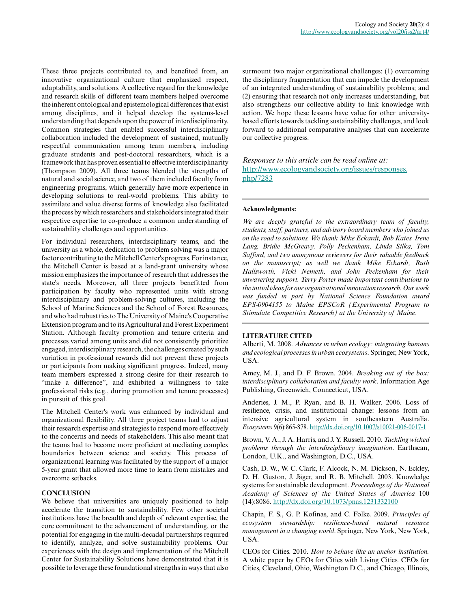These three projects contributed to, and benefited from, an innovative organizational culture that emphasized respect, adaptability, and solutions. A collective regard for the knowledge and research skills of different team members helped overcome the inherent ontological and epistemological differences that exist among disciplines, and it helped develop the systems-level understanding that depends upon the power of interdisciplinarity. Common strategies that enabled successful interdisciplinary collaboration included the development of sustained, mutually respectful communication among team members, including graduate students and post-doctoral researchers, which is a framework that has proven essential to effective interdisciplinarity (Thompson 2009). All three teams blended the strengths of natural and social science, and two of them included faculty from engineering programs, which generally have more experience in developing solutions to real-world problems. This ability to assimilate and value diverse forms of knowledge also facilitated the process by which researchers and stakeholders integrated their respective expertise to co-produce a common understanding of sustainability challenges and opportunities.

For individual researchers, interdisciplinary teams, and the university as a whole, dedication to problem solving was a major factor contributing to the Mitchell Center's progress. For instance, the Mitchell Center is based at a land-grant university whose mission emphasizes the importance of research that addresses the state's needs. Moreover, all three projects benefitted from participation by faculty who represented units with strong interdisciplinary and problem-solving cultures, including the School of Marine Sciences and the School of Forest Resources, and who had robust ties to The University of Maine's Cooperative Extension program and to its Agricultural and Forest Experiment Station. Although faculty promotion and tenure criteria and processes varied among units and did not consistently prioritize engaged, interdisciplinary research, the challenges created by such variation in professional rewards did not prevent these projects or participants from making significant progress. Indeed, many team members expressed a strong desire for their research to "make a difference", and exhibited a willingness to take professional risks (e.g., during promotion and tenure processes) in pursuit of this goal.

The Mitchell Center's work was enhanced by individual and organizational flexibility. All three project teams had to adjust their research expertise and strategies to respond more effectively to the concerns and needs of stakeholders. This also meant that the teams had to become more proficient at mediating complex boundaries between science and society. This process of organizational learning was facilitated by the support of a major 5-year grant that allowed more time to learn from mistakes and overcome setbacks.

#### **CONCLUSION**

We believe that universities are uniquely positioned to help accelerate the transition to sustainability. Few other societal institutions have the breadth and depth of relevant expertise, the core commitment to the advancement of understanding, or the potential for engaging in the multi-decadal partnerships required to identify, analyze, and solve sustainability problems. Our experiences with the design and implementation of the Mitchell Center for Sustainability Solutions have demonstrated that it is possible to leverage these foundational strengths in ways that also

surmount two major organizational challenges: (1) overcoming the disciplinary fragmentation that can impede the development of an integrated understanding of sustainability problems; and (2) ensuring that research not only increases understanding, but also strengthens our collective ability to link knowledge with action. We hope these lessons have value for other universitybased efforts towards tackling sustainability challenges, and look forward to additional comparative analyses that can accelerate our collective progress.

#### *Responses to this article can be read online at:* [http://www.ecologyandsociety.org/issues/responses.](http://www.ecologyandsociety.org/issues/responses.php/7283) [php/7283](http://www.ecologyandsociety.org/issues/responses.php/7283)

#### **Acknowledgments:**

*We are deeply grateful to the extraordinary team of faculty, students, staff, partners, and advisory board members who joined us on the road to solutions. We thank Mike Eckardt, Bob Kates, Irene Lang, Bridie McGreavy, Polly Peckenham, Linda Silka, Tom Safford, and two anonymous reviewers for their valuable feedback on the manuscript; as well we thank Mike Eckardt, Ruth Hallsworth, Vicki Nemeth, and John Peckenham for their unwavering support. Terry Porter made important contributions to the initial ideas for our organizational innovation research. Our work was funded in part by National Science Foundation award EPS-0904155 to Maine EPSCoR (Experimental Program to Stimulate Competitive Research) at the University of Maine.*

#### **LITERATURE CITED**

Alberti, M. 2008. *Advances in urban ecology: integrating humans and ecological processes in urban ecosystems*. Springer, New York, USA.

Amey, M. J., and D. F. Brown. 2004. *Breaking out of the box: interdisciplinary collaboration and faculty work*. Information Age Publishing, Greenwich, Connecticut, USA.

Anderies, J. M., P. Ryan, and B. H. Walker. 2006. Loss of resilience, crisis, and institutional change: lessons from an intensive agricultural system in southeastern Australia. *Ecosystems* 9(6):865-878. [http://dx.doi.org/10.1007/s10021-006-0017-1](http://dx.doi.org/10.1007%2Fs10021-006-0017-1) 

Brown, V. A., J. A. Harris, and J. Y. Russell. 2010. *Tackling wicked problems through the interdisciplinary imagination*. Earthscan, London, U.K., and Washington, D.C., USA.

Cash, D. W., W. C. Clark, F. Alcock, N. M. Dickson, N. Eckley, D. H. Guston, J. Jäger, and R. B. Mitchell. 2003. Knowledge systems for sustainable development. *Proceedings of the National Academy of Sciences of the United States of America* 100 (14):8086. [http://dx.doi.org/10.1073/pnas.1231332100](http://dx.doi.org/10.1073%2Fpnas.1231332100)

Chapin, F. S., G. P. Kofinas, and C. Folke. 2009. *Principles of ecosystem stewardship: resilience-based natural resource management in a changing world*. Springer, New York, New York, USA.

CEOs for Cities. 2010. *How to behave like an anchor institution.* A white paper by CEOs for Cities with Living Cities. CEOs for Cities, Cleveland, Ohio, Washington D.C., and Chicago, Illinois,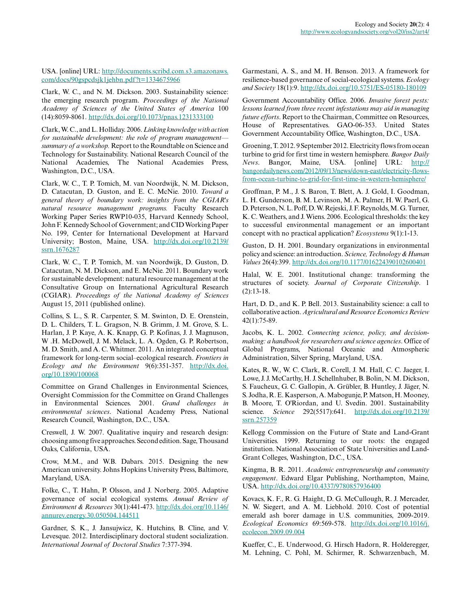USA. [online] URL: [http://documents.scribd.com.s3.amazonaws.](http://documents.scribd.com.s3.amazonaws.com/docs/90gspcdsjk1jehbn.pdf?t=1334675966) [com/docs/90gspcdsjk1jehbn.pdf?t=1334675966](http://documents.scribd.com.s3.amazonaws.com/docs/90gspcdsjk1jehbn.pdf?t=1334675966)

Clark, W. C., and N. M. Dickson. 2003. Sustainability science: the emerging research program. *Proceedings of the National Academy of Sciences of the United States of America* 100 (14):8059-8061. [http://dx.doi.org/10.1073/pnas.1231333100](http://dx.doi.org/10.1073%2Fpnas.1231333100)

Clark, W. C., and L. Holliday. 2006. *Linking knowledge with action for sustainable development: the role of program management summary of a workshop.* Report to the Roundtable on Science and Technology for Sustainability. National Research Council of the National Academies, The National Academies Press, Washington, D.C., USA.

Clark, W. C., T. P. Tomich, M. van Noordwijk, N. M. Dickson, D. Catacutan, D. Guston, and E. C. McNie. 2010. *Toward a general theory of boundary work: insights from the CGIAR's natural resource management programs.* Faculty Research Working Paper Series RWP10-035, Harvard Kennedy School, John F. Kennedy School of Government; and CID Working Paper No. 199, Center for International Development at Harvard University; Boston, Maine, USA. [http://dx.doi.org/10.2139/](http://dx.doi.org/10.2139%2Fssrn.1676287) [ssrn.1676287](http://dx.doi.org/10.2139%2Fssrn.1676287)

Clark, W. C., T. P. Tomich, M. van Noordwijk, D. Guston, D. Catacutan, N. M. Dickson, and E. McNie. 2011. Boundary work for sustainable development: natural resource management at the Consultative Group on International Agricultural Research (CGIAR). *Proceedings of the National Academy of Sciences* August 15, 2011 (published online).

Collins, S. L., S. R. Carpenter, S. M. Swinton, D. E. Orenstein, D. L. Childers, T. L. Gragson, N. B. Grimm, J. M. Grove, S. L. Harlan, J. P. Kaye, A. K. Knapp, G. P. Kofinas, J. J. Magnuson, W .H. McDowell, J. M. Melack, L. A. Ogden, G. P. Robertson, M. D. Smith, and A. C. Whitmer. 2011. An integrated conceptual framework for long-term social–ecological research. *Frontiers in Ecology and the Environment* 9(6):351-357. [http://dx.doi.](http://dx.doi.org/10.1890%2F100068) [org/10.1890/100068](http://dx.doi.org/10.1890%2F100068)

Committee on Grand Challenges in Environmental Sciences, Oversight Commission for the Committee on Grand Challenges in Environmental Sciences. 2001. *Grand challenges in environmental sciences*. National Academy Press, National Research Council, Washington, D.C., USA.

Creswell, J. W. 2007. Qualitative inquiry and research design: choosing among five approaches. Second edition. Sage, Thousand Oaks, California, USA.

Crow, M.M., and W.B. Dabars. 2015. Designing the new American university. Johns Hopkins University Press, Baltimore, Maryland, USA.

Folke, C., T. Hahn, P. Olsson, and J. Norberg. 2005. Adaptive governance of social ecological systems. *Annual Review of Environment & Resources* 30(1):441-473. [http://dx.doi.org/10.1146/](http://dx.doi.org/10.1146%2Fannurev.energy.30.050504.144511) [annurev.energy.30.050504.144511](http://dx.doi.org/10.1146%2Fannurev.energy.30.050504.144511) 

Gardner, S. K., J. Jansujwicz, K. Hutchins, B. Cline, and V. Levesque. 2012. Interdisciplinary doctoral student socialization. *International Journal of Doctoral Studies* 7:377-394.

Garmestani, A. S., and M. H. Benson. 2013. A framework for resilience-based governance of social-ecological systems. *Ecology and Society* 18(1):9. [http://dx.doi.org/10.5751/ES-05180-180109](http://dx.doi.org/10.5751%2FES-05180-180109)

Government Accountability Office. 2006. *Invasive forest pests: lessons learned from three recent infestations may aid in managing future efforts*. Report to the Chairman, Committee on Resources, House of Representatives. GAO-06-353. United States Government Accountability Office, Washington, D.C., USA.

Groening, T. 2012. 9 September 2012. Electricity flows from ocean turbine to grid for first time in western hemisphere. *Bangor Daily News*. Bangor, Maine, USA. [online] URL: [http://](http://bangordailynews.com/2012/09/13/news/down-east/electricity-flows-from-ocean-turbine-to-grid-for-first-time-in-western-hemisphere/) [bangordailynews.com/2012/09/13/news/down-east/electricity-flows](http://bangordailynews.com/2012/09/13/news/down-east/electricity-flows-from-ocean-turbine-to-grid-for-first-time-in-western-hemisphere/)[from-ocean-turbine-to-grid-for-first-time-in-western-hemisphere/](http://bangordailynews.com/2012/09/13/news/down-east/electricity-flows-from-ocean-turbine-to-grid-for-first-time-in-western-hemisphere/) 

Groffman, P. M., J. S. Baron, T. Blett, A. J. Gold, I. Goodman, L. H. Gunderson, B. M. Levinson, M. A. Palmer, H. W. Paerl, G. D. Peterson, N. L. Poff, D. W. Rejeski, J. F. Reynolds, M. G. Turner, K. C. Weathers, and J. Wiens. 2006. Ecological thresholds: the key to successful environmental management or an important concept with no practical application? *Ecosystems* 9(1):1-13.

Guston, D. H. 2001. Boundary organizations in environmental policy and science: an introduction. *Science, Technology & Human Values* 26(4):399. [http://dx.doi.org/10.1177/016224390102600401](http://dx.doi.org/10.1177%2F016224390102600401) 

Halal, W. E. 2001. Institutional change: transforming the structures of society. *Journal of Corporate Citizenship*. 1 (2):13-18.

Hart, D. D., and K. P. Bell. 2013. Sustainability science: a call to collaborative action. *Agricultural and Resource Economics Review* 42(1):75-89.

Jacobs, K. L. 2002. *Connecting science, policy, and decisionmaking: a handbook for researchers and science agencies*. Office of Global Programs, National Oceanic and Atmospheric Administration, Silver Spring, Maryland, USA.

Kates, R. W., W. C. Clark, R. Corell, J. M. Hall, C. C. Jaeger, I. Lowe, J. J. McCarthy, H. J. Schellnhuber, B. Bolin, N. M. Dickson, S. Faucheux, G. C. Gallopin, A. Grübler, B. Huntley, J. Jäger, N. S. Jodha, R. E. Kasperson, A. Mabogunje, P. Matson, H. Mooney, B. Moore, T. O'Riordan, and U. Svedin. 2001. Sustainability science. *Science* 292(5517):641. [http://dx.doi.org/10.2139/](http://dx.doi.org/10.2139%2Fssrn.257359) ssrn.257359

Kellogg Commission on the Future of State and Land-Grant Universities. 1999. Returning to our roots: the engaged institution. National Association of State Universities and Land-Grant Colleges, Washington, D.C., USA.

Kingma, B. R. 2011. *Academic entrepreneurship and community engagement*. Edward Elgar Publishing, Northampton, Maine, USA. [http://dx.doi.org/10.4337/9780857936400](http://dx.doi.org/10.4337%2F9780857936400) 

Kovacs, K. F., R. G. Haight, D. G. McCullough, R. J. Mercader, N. W. Siegert, and A. M. Liebhold. 2010. Cost of potential emerald ash borer damage in U.S. communities, 2009-2019. *Ecological Economics* 69:569-578. [http://dx.doi.org/10.1016/j.](http://dx.doi.org/10.1016%2Fj.ecolecon.2009.09.004) [ecolecon.2009.09.004](http://dx.doi.org/10.1016%2Fj.ecolecon.2009.09.004) 

Kueffer, C., E. Underwood, G. Hirsch Hadorn, R. Holderegger, M. Lehning, C. Pohl, M. Schirmer, R. Schwarzenbach, M.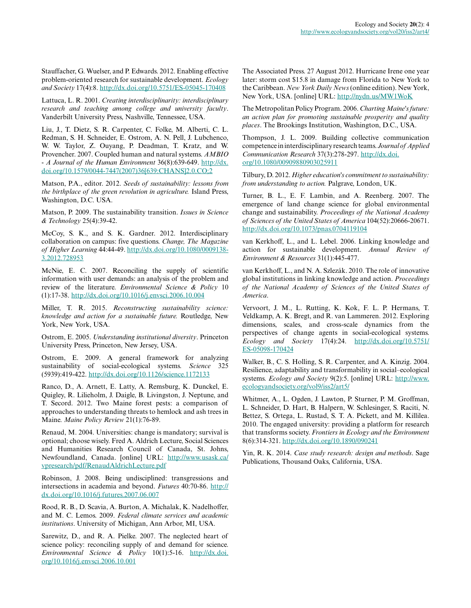Stauffacher, G. Wuelser, and P. Edwards. 2012. Enabling effective problem-oriented research for sustainable development. *Ecology and Society* 17(4):8. [http://dx.doi.org/10.5751/ES-05045-170408](http://dx.doi.org/10.5751%2FES-05045-170408)

Lattuca, L. R. 2001. *Creating interdisciplinarity: interdisciplinary research and teaching among college and university faculty*. Vanderbilt University Press, Nashville, Tennessee, USA.

Liu, J., T. Dietz, S. R. Carpenter, C. Folke, M. Alberti, C. L. Redman, S. H. Schneider, E. Ostrom, A. N. Pell, J. Lubchenco, W. W. Taylor, Z. Ouyang, P. Deadman, T. Kratz, and W. Provencher. 2007. Coupled human and natural systems. *AMBIO - A Journal of the Human Environment* 36(8):639-649. [http://dx.](http://dx.doi.org/10.1579%2F0044-7447%282007%2936%5B639%3ACHANS%5D2.0.CO%3B2) [doi.org/10.1579/0044-7447\(2007\)36\[639:CHANS\]2.0.CO;2](http://dx.doi.org/10.1579%2F0044-7447%282007%2936%5B639%3ACHANS%5D2.0.CO%3B2)

Matson, P.A., editor. 2012. *Seeds of sustainability: lessons from the birthplace of the green revolution in agriculture.* Island Press, Washington, D.C. USA.

Matson, P. 2009. The sustainability transition. *Issues in Science & Technology* 25(4):39-42.

McCoy, S. K., and S. K. Gardner. 2012. Interdisciplinary collaboration on campus: five questions. *Change, The Magazine of Higher Learning* 44:44-49. [http://dx.doi.org/10.1080/0009138](http://dx.doi.org/10.1080%2F00091383.2012.728953) [3.2012.728953](http://dx.doi.org/10.1080%2F00091383.2012.728953)

McNie, E. C. 2007. Reconciling the supply of scientific information with user demands: an analysis of the problem and review of the literature. *Environmental Science & Policy* 10 (1):17-38. [http://dx.doi.org/10.1016/j.envsci.2006.10.004](http://dx.doi.org/10.1016%2Fj.envsci.2006.10.004) 

Miller, T. R. 2015. *Reconstructing sustainability science: knowledge and action for a sustainable future.* Routledge, New York, New York, USA.

Ostrom, E. 2005. *Understanding institutional diversity*. Princeton University Press, Princeton, New Jersey, USA.

Ostrom, E. 2009. A general framework for analyzing sustainability of social-ecological systems. *Science* 325 (5939):419-422. [http://dx.doi.org/10.1126/science.1172133](http://dx.doi.org/10.1126%2Fscience.1172133) 

Ranco, D., A. Arnett, E. Latty, A. Remsburg, K. Dunckel, E. Quigley, R. Lilieholm, J. Daigle, B. Livingston, J. Neptune, and T. Secord. 2012. Two Maine forest pests: a comparison of approaches to understanding threats to hemlock and ash trees in Maine. *Maine Policy Review* 21(1):76-89.

Renaud, M. 2004. Universities: change is mandatory; survival is optional; choose wisely. Fred A. Aldrich Lecture, Social Sciences and Humanities Research Council of Canada, St. Johns, Newfoundland, Canada. [online] URL: [http://www.usask.ca/](http://www.usask.ca/vpresearch/pdf/RenaudAldrichLecture.pdf) [vpresearch/pdf/RenaudAldrichLecture.pdf](http://www.usask.ca/vpresearch/pdf/RenaudAldrichLecture.pdf)

Robinson, J. 2008. Being undisciplined: transgressions and intersections in academia and beyond. *Futures* 40:70-86. [http://](http://dx.doi.org/10.1016%2Fj.futures.2007.06.007) [dx.doi.org/10.1016/j.futures.2007.06.007](http://dx.doi.org/10.1016%2Fj.futures.2007.06.007) 

Rood, R. B., D. Scavia, A. Burton, A. Michalak, K. Nadelhoffer, and M. C. Lemos. 2009. *Federal climate services and academic institutions*. University of Michigan, Ann Arbor, MI, USA.

Sarewitz, D., and R. A. Pielke. 2007. The neglected heart of science policy: reconciling supply of and demand for science. *Environmental Science & Policy* 10(1):5-16. [http://dx.doi.](http://dx.doi.org/10.1016%2Fj.envsci.2006.10.001) [org/10.1016/j.envsci.2006.10.001](http://dx.doi.org/10.1016%2Fj.envsci.2006.10.001) 

The Associated Press. 27 August 2012. Hurricane Irene one year later: storm cost \$15.8 in damage from Florida to New York to the Caribbean. *New York Daily News* (online edition). New York, New York, USA. [online] URL:<http://nydn.us/MW1WoK>

The Metropolitan Policy Program. 2006. *Charting Maine's future: an action plan for promoting sustainable prosperity and quality places*. The Brookings Institution, Washington, D.C., USA.

Thompson, J. L. 2009. Building collective communication competence in interdisciplinary research teams. *Journal of Applied Communication Research* 37(3):278-297. [http://dx.doi.](http://dx.doi.org/10.1080%2F00909880903025911) [org/10.1080/00909880903025911](http://dx.doi.org/10.1080%2F00909880903025911) 

Tilbury, D. 2012. *Higher education's commitment to sustainability: from understanding to action.* Palgrave, London, UK.

Turner, B. L., E. F. Lambin, and A. Reenberg. 2007. The emergence of land change science for global environmental change and sustainability. *Proceedings of the National Academy of Sciences of the United States of America* 104(52):20666-20671. [http://dx.doi.org/10.1073/pnas.0704119104](http://dx.doi.org/10.1073%2Fpnas.0704119104)

van Kerkhoff, L., and L. Lebel. 2006. Linking knowledge and action for sustainable development. *Annual Review of Environment & Resources* 31(1):445-477.

van Kerkhoff, L., and N. A. Szlezák. 2010. The role of innovative global institutions in linking knowledge and action. *Proceedings of the National Academy of Sciences of the United States of America*.

Vervoort, J. M., L. Rutting, K. Kok, F. L. P. Hermans, T. Veldkamp, A. K. Bregt, and R. van Lammeren. 2012. Exploring dimensions, scales, and cross-scale dynamics from the perspectives of change agents in social-ecological systems. *Ecology and Society* 17(4):24. [http://dx.doi.org/10.5751/](http://dx.doi.org/10.5751%2FES-05098-170424) [ES-05098-170424](http://dx.doi.org/10.5751%2FES-05098-170424)

Walker, B., C. S. Holling, S. R. Carpenter, and A. Kinzig. 2004. Resilience, adaptability and transformability in social–ecological systems. *Ecology and Society* 9(2):5. [online] URL: [http://www.](http://www.ecologyandsociety.org/vol9/iss2/art5/) [ecologyandsociety.org/vol9/iss2/art5/](http://www.ecologyandsociety.org/vol9/iss2/art5/)

Whitmer, A., L. Ogden, J. Lawton, P. Sturner, P. M. Groffman, L. Schneider, D. Hart, B. Halpern, W. Schlesinger, S. Raciti, N. Bettez, S. Ortega, L. Rustad, S. T. A. Pickett, and M. Killilea. 2010. The engaged university: providing a platform for research that transforms society. *Frontiers in Ecology and the Environment* 8(6):314-321. [http://dx.doi.org/10.1890/090241](http://dx.doi.org/10.1890%2F090241)

Yin, R. K. 2014. *Case study research: design and methods*. Sage Publications, Thousand Oaks, California, USA.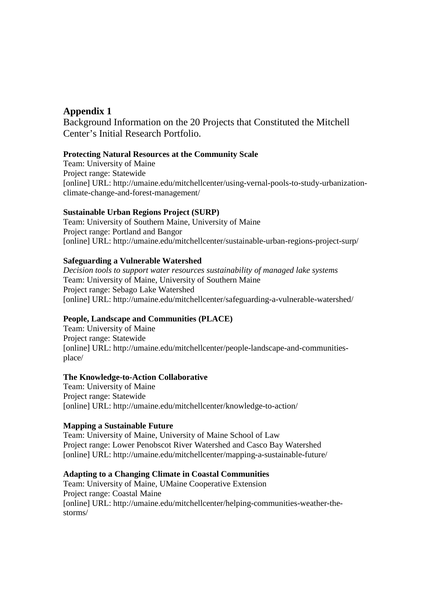# **Appendix 1**

Background Information on the 20 Projects that Constituted the Mitchell Center's Initial Research Portfolio.

### **Protecting Natural Resources at the Community Scale**

Team: University of Maine Project range: Statewide [online] URL: http://umaine.edu/mitchellcenter/using-vernal-pools-to-study-urbanizationclimate-change-and-forest-management/

### **Sustainable Urban Regions Project (SURP)**

Team: University of Southern Maine, University of Maine Project range: Portland and Bangor [online] URL: http://umaine.edu/mitchellcenter/sustainable-urban-regions-project-surp/

### **Safeguarding a Vulnerable Watershed**

*Decision tools to support water resources sustainability of managed lake systems* Team: University of Maine, University of Southern Maine Project range: Sebago Lake Watershed [online] URL: http://umaine.edu/mitchellcenter/safeguarding-a-vulnerable-watershed/

### **People, Landscape and Communities (PLACE)**

Team: University of Maine Project range: Statewide [online] URL: http://umaine.edu/mitchellcenter/people-landscape-and-communitiesplace/

### **The Knowledge-to-Action Collaborative**

Team: University of Maine Project range: Statewide [online] URL: http://umaine.edu/mitchellcenter/knowledge-to-action/

### **Mapping a Sustainable Future**

Team: University of Maine, University of Maine School of Law Project range: Lower Penobscot River Watershed and Casco Bay Watershed [online] URL: http://umaine.edu/mitchellcenter/mapping-a-sustainable-future/

### **Adapting to a Changing Climate in Coastal Communities**

Team: University of Maine, UMaine Cooperative Extension Project range: Coastal Maine [online] URL: http://umaine.edu/mitchellcenter/helping-communities-weather-thestorms/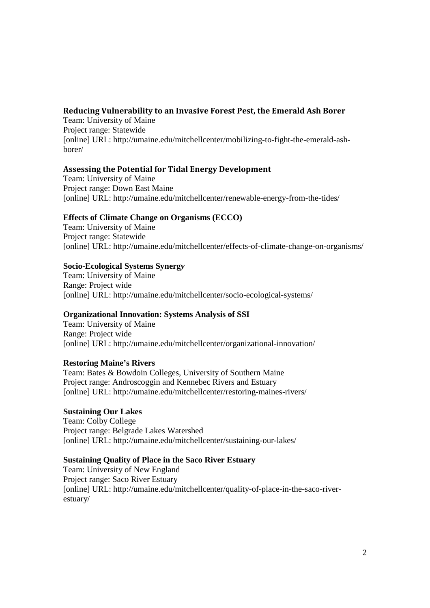# **Reducing Vulnerability to an Invasive Forest Pest, the Emerald Ash Borer**

Team: University of Maine Project range: Statewide [online] URL: http://umaine.edu/mitchellcenter/mobilizing-to-fight-the-emerald-ashborer/

### **Assessing the Potential for Tidal Energy Development**

Team: University of Maine Project range: Down East Maine [online] URL: http://umaine.edu/mitchellcenter/renewable-energy-from-the-tides/

### **Effects of Climate Change on Organisms (ECCO)**

Team: University of Maine Project range: Statewide [online] URL: http://umaine.edu/mitchellcenter/effects-of-climate-change-on-organisms/

### **Socio-Ecological Systems Synerg***y*

Team: University of Maine Range: Project wide [online] URL: http://umaine.edu/mitchellcenter/socio-ecological-systems/

### **Organizational Innovation: Systems Analysis of SSI**

Team: University of Maine Range: Project wide [online] URL: http://umaine.edu/mitchellcenter/organizational-innovation/

### **Restoring Maine's Rivers**

Team: Bates & Bowdoin Colleges, University of Southern Maine Project range: Androscoggin and Kennebec Rivers and Estuary [online] URL: http://umaine.edu/mitchellcenter/restoring-maines-rivers/

# **Sustaining Our Lakes**

Team: Colby College Project range: Belgrade Lakes Watershed [online] URL: http://umaine.edu/mitchellcenter/sustaining-our-lakes/

# **Sustaining Quality of Place in the Saco River Estuary**

Team: University of New England Project range: Saco River Estuary [online] URL: http://umaine.edu/mitchellcenter/quality-of-place-in-the-saco-riverestuary/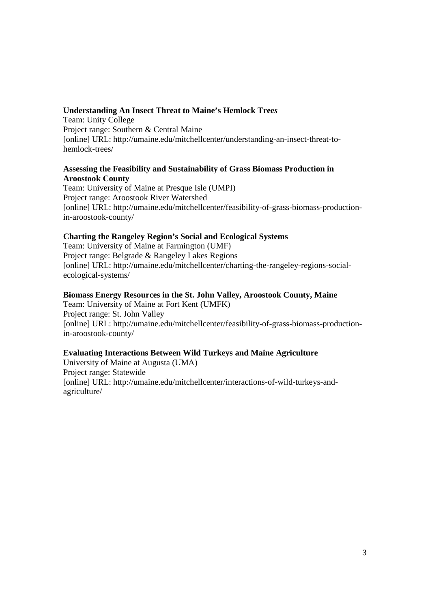### **Understanding An Insect Threat to Maine's Hemlock Tree***s*

Team: Unity College Project range: Southern & Central Maine [online] URL: http://umaine.edu/mitchellcenter/understanding-an-insect-threat-tohemlock-trees/

### **Assessing the Feasibility and Sustainability of Grass Biomass Production in Aroostook County**

Team: University of Maine at Presque Isle (UMPI) Project range: Aroostook River Watershed [online] URL: http://umaine.edu/mitchellcenter/feasibility-of-grass-biomass-productionin-aroostook-county/

### **Charting the Rangeley Region's Social and Ecological Systems**

Team: University of Maine at Farmington (UMF) Project range: Belgrade & Rangeley Lakes Regions [online] URL: http://umaine.edu/mitchellcenter/charting-the-rangeley-regions-socialecological-systems/

### **Biomass Energy Resources in the St. John Valley, Aroostook County, Maine**

Team: University of Maine at Fort Kent (UMFK) Project range: St. John Valley [online] URL: http://umaine.edu/mitchellcenter/feasibility-of-grass-biomass-productionin-aroostook-county/

### **Evaluating Interactions Between Wild Turkeys and Maine Agriculture**

University of Maine at Augusta (UMA) Project range: Statewide [online] URL: http://umaine.edu/mitchellcenter/interactions-of-wild-turkeys-andagriculture/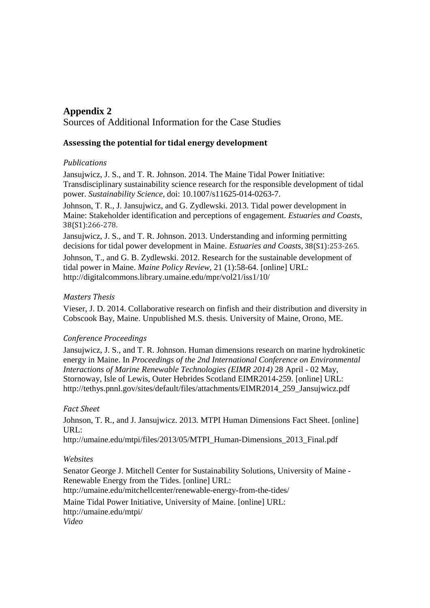# **Appendix 2**

Sources of Additional Information for the Case Studies

# **Assessing the potential for tidal energy development**

### *Publications*

Jansujwicz, J. S., and T. R. Johnson. 2014. The Maine Tidal Power Initiative: Transdisciplinary sustainability science research for the responsible development of tidal power. *Sustainability Science,* doi: 10.1007/s11625-014-0263-7.

Johnson, T. R., J. Jansujwicz, and G. Zydlewski. 2013. Tidal power development in Maine: Stakeholder identification and perceptions of engagement. *Estuaries and Coasts*, 38(S1):266-278.

Jansujwicz, J. S., and T. R. Johnson. 2013. Understanding and informing permitting decisions for tidal power development in Maine. *Estuaries and Coasts,* 38(S1):253-265.

Johnson, T., and G. B. Zydlewski. 2012. Research for the sustainable development of tidal power in Maine. *Maine Policy Review,* 21 (1):58-64. [online] URL: http://digitalcommons.library.umaine.edu/mpr/vol21/iss1/10/

### *Masters Thesis*

Vieser, J. D. 2014. Collaborative research on finfish and their distribution and diversity in Cobscook Bay, Maine. Unpublished M.S. thesis. University of Maine, Orono, ME.

# *Conference Proceedings*

Jansujwicz, J. S., and T. R. Johnson. Human dimensions research on marine hydrokinetic energy in Maine. In *Proceedings of the 2nd International Conference on Environmental Interactions of Marine Renewable Technologies (EIMR 2014)* 28 April - 02 May, Stornoway, Isle of Lewis, Outer Hebrides Scotland EIMR2014-259. [online] URL: http://tethys.pnnl.gov/sites/default/files/attachments/EIMR2014\_259\_Jansujwicz.pdf

### *Fact Sheet*

Johnson, T. R., and J. Jansujwicz. 2013. MTPI Human Dimensions Fact Sheet. [online] URL:

http://umaine.edu/mtpi/files/2013/05/MTPI\_Human-Dimensions\_2013\_Final.pdf

### *Websites*

Senator George J. Mitchell Center for Sustainability Solutions, University of Maine - Renewable Energy from the Tides. [online] URL: http://umaine.edu/mitchellcenter/renewable-energy-from-the-tides/

Maine Tidal Power Initiative, University of Maine. [online] URL: http://umaine.edu/mtpi/ *Video*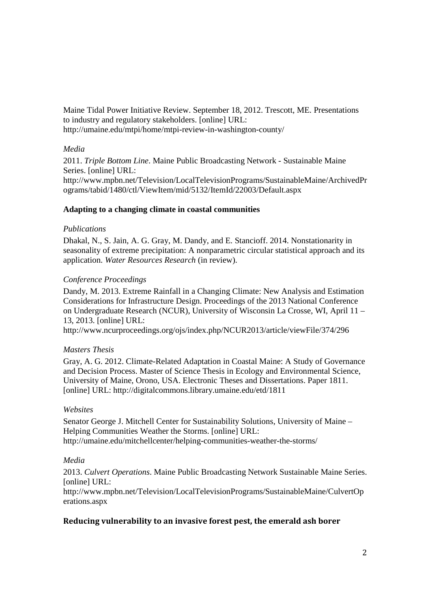Maine Tidal Power Initiative Review. September 18, 2012. Trescott, ME. Presentations to industry and regulatory stakeholders. [online] URL: http://umaine.edu/mtpi/home/mtpi-review-in-washington-county/

### *Media*

2011. *Triple Bottom Line*. Maine Public Broadcasting Network - Sustainable Maine Series. [online] URL:

http://www.mpbn.net/Television/LocalTelevisionPrograms/SustainableMaine/ArchivedPr ograms/tabid/1480/ctl/ViewItem/mid/5132/ItemId/22003/Default.aspx

### **Adapting to a changing climate in coastal communities**

### *Publications*

Dhakal, N., S. Jain, A. G. Gray, M. Dandy, and E. Stancioff. 2014. Nonstationarity in seasonality of extreme precipitation: A nonparametric circular statistical approach and its application. *Water Resources Research* (in review).

### *Conference Proceedings*

Dandy, M. 2013. Extreme Rainfall in a Changing Climate: New Analysis and Estimation Considerations for Infrastructure Design. Proceedings of the 2013 National Conference on Undergraduate Research (NCUR), University of Wisconsin La Crosse, WI, April 11 – 13, 2013. [online] URL:

http://www.ncurproceedings.org/ojs/index.php/NCUR2013/article/viewFile/374/296

### *Masters Thesis*

Gray, A. G. 2012. Climate-Related Adaptation in Coastal Maine: A Study of Governance and Decision Process. Master of Science Thesis in Ecology and Environmental Science, University of Maine, Orono, USA. Electronic Theses and Dissertations. Paper 1811. [online] URL: http://digitalcommons.library.umaine.edu/etd/1811

#### *Websites*

Senator George J. Mitchell Center for Sustainability Solutions, University of Maine – Helping Communities Weather the Storms. [online] URL: http://umaine.edu/mitchellcenter/helping-communities-weather-the-storms/

#### *Media*

2013. *Culvert Operations*. Maine Public Broadcasting Network Sustainable Maine Series. [online] URL:

http://www.mpbn.net/Television/LocalTelevisionPrograms/SustainableMaine/CulvertOp erations.aspx

### **Reducing vulnerability to an invasive forest pest, the emerald ash borer**